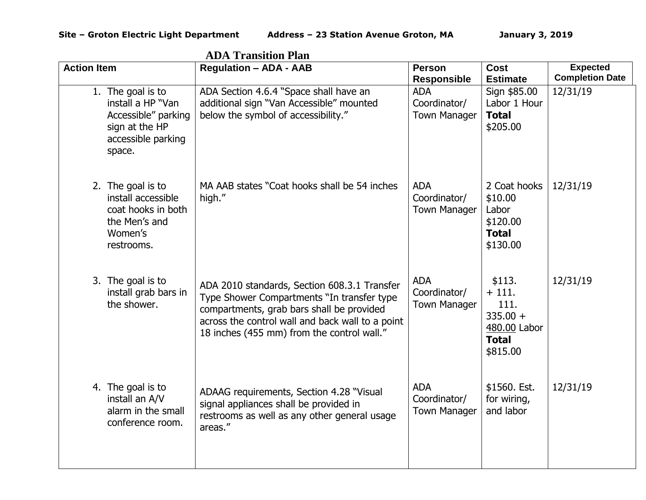|                                                                                                                 | дрд ттаняцон і кін                                                                                                                                                                                                                        |                                                   |                                                                                     |                        |
|-----------------------------------------------------------------------------------------------------------------|-------------------------------------------------------------------------------------------------------------------------------------------------------------------------------------------------------------------------------------------|---------------------------------------------------|-------------------------------------------------------------------------------------|------------------------|
| <b>Action Item</b>                                                                                              | <b>Regulation - ADA - AAB</b>                                                                                                                                                                                                             | <b>Person</b>                                     | Cost                                                                                | <b>Expected</b>        |
|                                                                                                                 |                                                                                                                                                                                                                                           | <b>Responsible</b>                                | <b>Estimate</b>                                                                     | <b>Completion Date</b> |
| 1. The goal is to<br>install a HP "Van<br>Accessible" parking<br>sign at the HP<br>accessible parking<br>space. | ADA Section 4.6.4 "Space shall have an<br>additional sign "Van Accessible" mounted<br>below the symbol of accessibility."                                                                                                                 | <b>ADA</b><br>Coordinator/<br><b>Town Manager</b> | Sign \$85.00<br>Labor 1 Hour<br><b>Total</b><br>\$205.00                            | 12/31/19               |
| 2. The goal is to<br>install accessible<br>coat hooks in both<br>the Men's and<br>Women's<br>restrooms.         | MA AAB states "Coat hooks shall be 54 inches<br>high."                                                                                                                                                                                    | <b>ADA</b><br>Coordinator/<br><b>Town Manager</b> | 2 Coat hooks<br>\$10.00<br>Labor<br>\$120.00<br><b>Total</b><br>\$130.00            | 12/31/19               |
| 3. The goal is to<br>install grab bars in<br>the shower.                                                        | ADA 2010 standards, Section 608.3.1 Transfer<br>Type Shower Compartments "In transfer type<br>compartments, grab bars shall be provided<br>across the control wall and back wall to a point<br>18 inches (455 mm) from the control wall." | <b>ADA</b><br>Coordinator/<br><b>Town Manager</b> | \$113.<br>$+111.$<br>111.<br>$335.00 +$<br>480.00 Labor<br><b>Total</b><br>\$815.00 | 12/31/19               |
| 4. The goal is to<br>install an A/V<br>alarm in the small<br>conference room.                                   | ADAAG requirements, Section 4.28 "Visual<br>signal appliances shall be provided in<br>restrooms as well as any other general usage<br>areas."                                                                                             | <b>ADA</b><br>Coordinator/<br><b>Town Manager</b> | \$1560. Est.<br>for wiring,<br>and labor                                            | 12/31/19               |

**ADA Transition Plan**